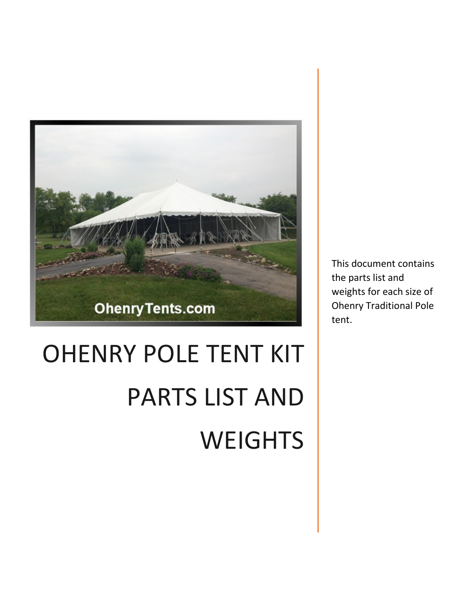

# OHENRY POLE TENT KIT PARTS LIST AND **WEIGHTS**

This document contains the parts list and weights for each size of Ohenry Traditional Pole tent.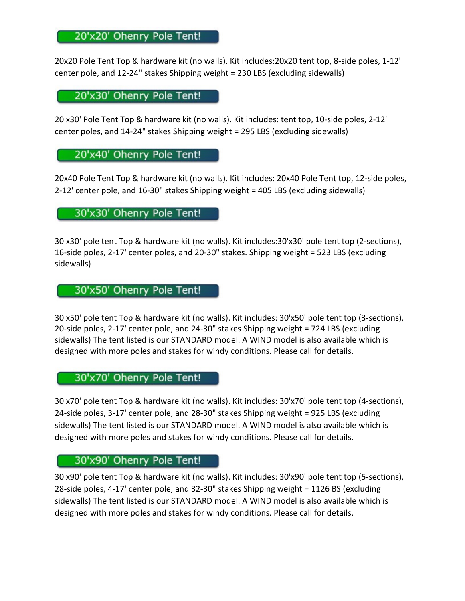# 20'x20' Ohenry Pole Tent!

20x20 Pole Tent Top & hardware kit (no walls). Kit includes:20x20 tent top, 8-side poles, 1-12' center pole, and 12-24" stakes Shipping weight = 230 LBS (excluding sidewalls)

20'x30' Ohenry Pole Tent!

20'x30' Pole Tent Top & hardware kit (no walls). Kit includes: tent top, 10-side poles, 2-12' center poles, and 14-24" stakes Shipping weight = 295 LBS (excluding sidewalls)

20'x40' Ohenry Pole Tent!

20x40 Pole Tent Top & hardware kit (no walls). Kit includes: 20x40 Pole Tent top, 12-side poles, 2-12' center pole, and 16-30" stakes Shipping weight = 405 LBS (excluding sidewalls)

30'x30' Ohenry Pole Tent!

30'x30' pole tent Top & hardware kit (no walls). Kit includes:30'x30' pole tent top (2-sections), 16-side poles, 2-17' center poles, and 20-30" stakes. Shipping weight = 523 LBS (excluding sidewalls)

30'x50' Ohenry Pole Tent!

30'x50' pole tent Top & hardware kit (no walls). Kit includes: 30'x50' pole tent top (3-sections), 20-side poles, 2-17' center pole, and 24-30" stakes Shipping weight = 724 LBS (excluding sidewalls) The tent listed is our STANDARD model. A WIND model is also available which is designed with more poles and stakes for windy conditions. Please call for details.

30'x70' Ohenry Pole Tent!

30'x70' pole tent Top & hardware kit (no walls). Kit includes: 30'x70' pole tent top (4-sections), 24-side poles, 3-17' center pole, and 28-30" stakes Shipping weight = 925 LBS (excluding sidewalls) The tent listed is our STANDARD model. A WIND model is also available which is designed with more poles and stakes for windy conditions. Please call for details.

### 30'x90' Ohenry Pole Tent!

30'x90' pole tent Top & hardware kit (no walls). Kit includes: 30'x90' pole tent top (5-sections), 28-side poles, 4-17' center pole, and 32-30" stakes Shipping weight = 1126 BS (excluding sidewalls) The tent listed is our STANDARD model. A WIND model is also available which is designed with more poles and stakes for windy conditions. Please call for details.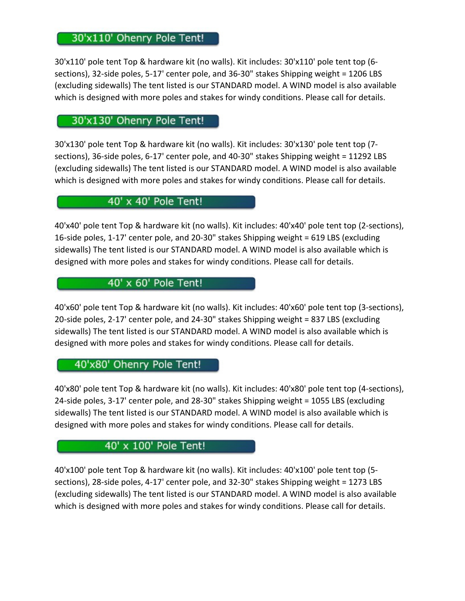# 30'x110' Ohenry Pole Tent!

30'x110' pole tent Top & hardware kit (no walls). Kit includes: 30'x110' pole tent top (6 sections), 32-side poles, 5-17' center pole, and 36-30" stakes Shipping weight = 1206 LBS (excluding sidewalls) The tent listed is our STANDARD model. A WIND model is also available which is designed with more poles and stakes for windy conditions. Please call for details.

## 30'x130' Ohenry Pole Tent!

30'x130' pole tent Top & hardware kit (no walls). Kit includes: 30'x130' pole tent top (7 sections), 36-side poles, 6-17' center pole, and 40-30" stakes Shipping weight = 11292 LBS (excluding sidewalls) The tent listed is our STANDARD model. A WIND model is also available which is designed with more poles and stakes for windy conditions. Please call for details.

#### 40' x 40' Pole Tent!

40'x40' pole tent Top & hardware kit (no walls). Kit includes: 40'x40' pole tent top (2-sections), 16-side poles, 1-17' center pole, and 20-30" stakes Shipping weight = 619 LBS (excluding sidewalls) The tent listed is our STANDARD model. A WIND model is also available which is designed with more poles and stakes for windy conditions. Please call for details.

# 40' x 60' Pole Tent!

40'x60' pole tent Top & hardware kit (no walls). Kit includes: 40'x60' pole tent top (3-sections), 20-side poles, 2-17' center pole, and 24-30" stakes Shipping weight = 837 LBS (excluding sidewalls) The tent listed is our STANDARD model. A WIND model is also available which is designed with more poles and stakes for windy conditions. Please call for details.

## 40'x80' Ohenry Pole Tent!

40'x80' pole tent Top & hardware kit (no walls). Kit includes: 40'x80' pole tent top (4-sections), 24-side poles, 3-17' center pole, and 28-30" stakes Shipping weight = 1055 LBS (excluding sidewalls) The tent listed is our STANDARD model. A WIND model is also available which is designed with more poles and stakes for windy conditions. Please call for details.

# 40' x 100' Pole Tent!

40'x100' pole tent Top & hardware kit (no walls). Kit includes: 40'x100' pole tent top (5 sections), 28-side poles, 4-17' center pole, and 32-30" stakes Shipping weight = 1273 LBS (excluding sidewalls) The tent listed is our STANDARD model. A WIND model is also available which is designed with more poles and stakes for windy conditions. Please call for details.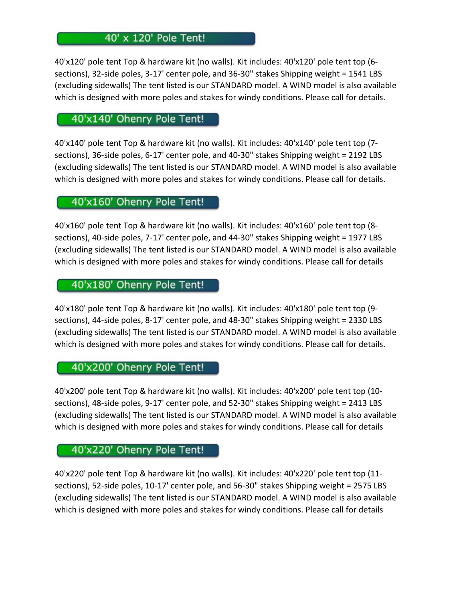# 40' x 120' Pole Tent!

40'x120' pole tent Top & hardware kit (no walls). Kit includes: 40'x120' pole tent top (6 sections), 32-side poles, 3-17' center pole, and 36-30" stakes Shipping weight = 1541 LBS (excluding sidewalls) The tent listed is our STANDARD model. A WIND model is also available which is designed with more poles and stakes for windy conditions. Please call for details.

## 40'x140' Ohenry Pole Tent!

40'x140' pole tent Top & hardware kit (no walls). Kit includes: 40'x140' pole tent top (7 sections), 36-side poles, 6-17' center pole, and 40-30" stakes Shipping weight = 2192 LBS (excluding sidewalls) The tent listed is our STANDARD model. A WIND model is also available which is designed with more poles and stakes for windy conditions. Please call for details.

## 40'x160' Ohenry Pole Tent!

40'x160' pole tent Top & hardware kit (no walls). Kit includes: 40'x160' pole tent top (8 sections), 40-side poles, 7-17' center pole, and 44-30" stakes Shipping weight = 1977 LBS (excluding sidewalls) The tent listed is our STANDARD model. A WIND model is also available which is designed with more poles and stakes for windy conditions. Please call for details

# 40'x180' Ohenry Pole Tent!

40'x180' pole tent Top & hardware kit (no walls). Kit includes: 40'x180' pole tent top (9 sections), 44-side poles, 8-17' center pole, and 48-30" stakes Shipping weight = 2330 LBS (excluding sidewalls) The tent listed is our STANDARD model. A WIND model is also available which is designed with more poles and stakes for windy conditions. Please call for details.

## 40'x200' Ohenry Pole Tent!

40'x200' pole tent Top & hardware kit (no walls). Kit includes: 40'x200' pole tent top (10 sections), 48-side poles, 9-17' center pole, and 52-30" stakes Shipping weight = 2413 LBS (excluding sidewalls) The tent listed is our STANDARD model. A WIND model is also available which is designed with more poles and stakes for windy conditions. Please call for details

#### 40'x220' Ohenry Pole Tent!

40'x220' pole tent Top & hardware kit (no walls). Kit includes: 40'x220' pole tent top (11 sections), 52-side poles, 10-17' center pole, and 56-30" stakes Shipping weight = 2575 LBS (excluding sidewalls) The tent listed is our STANDARD model. A WIND model is also available which is designed with more poles and stakes for windy conditions. Please call for details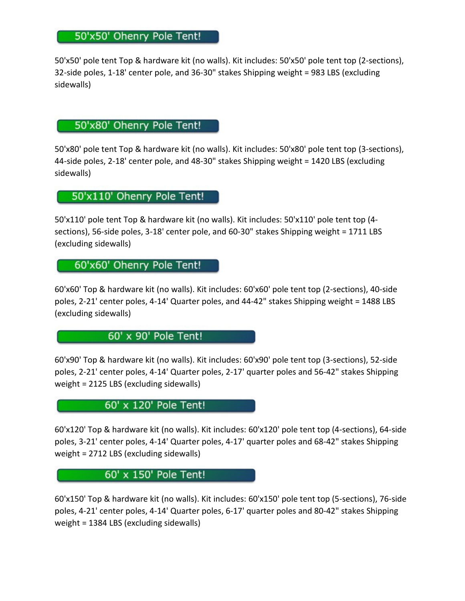# 50'x50' Ohenry Pole Tent!

50'x50' pole tent Top & hardware kit (no walls). Kit includes: 50'x50' pole tent top (2-sections), 32-side poles, 1-18' center pole, and 36-30" stakes Shipping weight = 983 LBS (excluding sidewalls)

# 50'x80' Ohenry Pole Tent!

50'x80' pole tent Top & hardware kit (no walls). Kit includes: 50'x80' pole tent top (3-sections), 44-side poles, 2-18' center pole, and 48-30" stakes Shipping weight = 1420 LBS (excluding sidewalls)

## 50'x110' Ohenry Pole Tent!

50'x110' pole tent Top & hardware kit (no walls). Kit includes: 50'x110' pole tent top (4 sections), 56-side poles, 3-18' center pole, and 60-30" stakes Shipping weight = 1711 LBS (excluding sidewalls)

## 60'x60' Ohenry Pole Tent!

60'x60' Top & hardware kit (no walls). Kit includes: 60'x60' pole tent top (2-sections), 40-side poles, 2-21' center poles, 4-14' Quarter poles, and 44-42" stakes Shipping weight = 1488 LBS (excluding sidewalls)

## 60' x 90' Pole Tent!

60'x90' Top & hardware kit (no walls). Kit includes: 60'x90' pole tent top (3-sections), 52-side poles, 2-21' center poles, 4-14' Quarter poles, 2-17' quarter poles and 56-42" stakes Shipping weight = 2125 LBS (excluding sidewalls)

## 60' x 120' Pole Tent!

60'x120' Top & hardware kit (no walls). Kit includes: 60'x120' pole tent top (4-sections), 64-side poles, 3-21' center poles, 4-14' Quarter poles, 4-17' quarter poles and 68-42" stakes Shipping weight = 2712 LBS (excluding sidewalls)

## 60' x 150' Pole Tent!

60'x150' Top & hardware kit (no walls). Kit includes: 60'x150' pole tent top (5-sections), 76-side poles, 4-21' center poles, 4-14' Quarter poles, 6-17' quarter poles and 80-42" stakes Shipping weight = 1384 LBS (excluding sidewalls)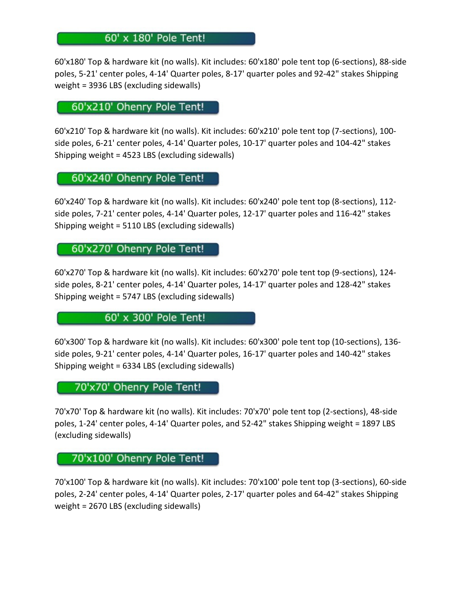# 60' x 180' Pole Tent!

60'x180' Top & hardware kit (no walls). Kit includes: 60'x180' pole tent top (6-sections), 88-side poles, 5-21' center poles, 4-14' Quarter poles, 8-17' quarter poles and 92-42" stakes Shipping weight = 3936 LBS (excluding sidewalls)

60'x210' Ohenry Pole Tent!

60'x210' Top & hardware kit (no walls). Kit includes: 60'x210' pole tent top (7-sections), 100 side poles, 6-21' center poles, 4-14' Quarter poles, 10-17' quarter poles and 104-42" stakes Shipping weight = 4523 LBS (excluding sidewalls)

60'x240' Ohenry Pole Tent!

60'x240' Top & hardware kit (no walls). Kit includes: 60'x240' pole tent top (8-sections), 112 side poles, 7-21' center poles, 4-14' Quarter poles, 12-17' quarter poles and 116-42" stakes Shipping weight = 5110 LBS (excluding sidewalls)

60'x270' Ohenry Pole Tent!

60'x270' Top & hardware kit (no walls). Kit includes: 60'x270' pole tent top (9-sections), 124 side poles, 8-21' center poles, 4-14' Quarter poles, 14-17' quarter poles and 128-42" stakes Shipping weight = 5747 LBS (excluding sidewalls)

60' x 300' Pole Tent!

60'x300' Top & hardware kit (no walls). Kit includes: 60'x300' pole tent top (10-sections), 136 side poles, 9-21' center poles, 4-14' Quarter poles, 16-17' quarter poles and 140-42" stakes Shipping weight = 6334 LBS (excluding sidewalls)

70'x70' Ohenry Pole Tent!

70'x70' Top & hardware kit (no walls). Kit includes: 70'x70' pole tent top (2-sections), 48-side poles, 1-24' center poles, 4-14' Quarter poles, and 52-42" stakes Shipping weight = 1897 LBS (excluding sidewalls)

## 70'x100' Ohenry Pole Tent!

70'x100' Top & hardware kit (no walls). Kit includes: 70'x100' pole tent top (3-sections), 60-side poles, 2-24' center poles, 4-14' Quarter poles, 2-17' quarter poles and 64-42" stakes Shipping weight = 2670 LBS (excluding sidewalls)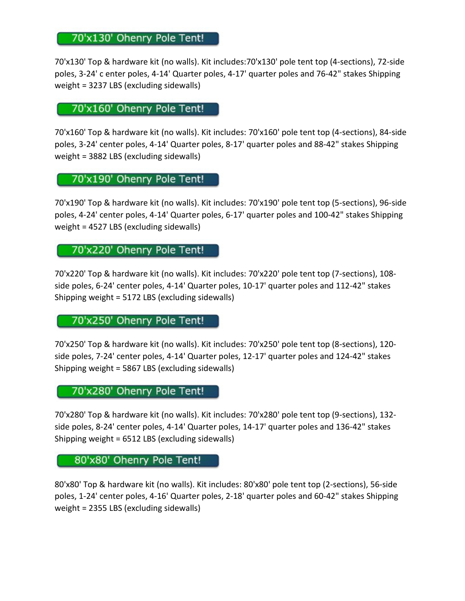# 70'x130' Ohenry Pole Tent!

70'x130' Top & hardware kit (no walls). Kit includes:70'x130' pole tent top (4-sections), 72-side poles, 3-24' c enter poles, 4-14' Quarter poles, 4-17' quarter poles and 76-42" stakes Shipping weight = 3237 LBS (excluding sidewalls)

## 70'x160' Ohenry Pole Tent!

70'x160' Top & hardware kit (no walls). Kit includes: 70'x160' pole tent top (4-sections), 84-side poles, 3-24' center poles, 4-14' Quarter poles, 8-17' quarter poles and 88-42" stakes Shipping weight = 3882 LBS (excluding sidewalls)

## 70'x190' Ohenry Pole Tent!

70'x190' Top & hardware kit (no walls). Kit includes: 70'x190' pole tent top (5-sections), 96-side poles, 4-24' center poles, 4-14' Quarter poles, 6-17' quarter poles and 100-42" stakes Shipping weight = 4527 LBS (excluding sidewalls)

#### 70'x220' Ohenry Pole Tent!

70'x220' Top & hardware kit (no walls). Kit includes: 70'x220' pole tent top (7-sections), 108 side poles, 6-24' center poles, 4-14' Quarter poles, 10-17' quarter poles and 112-42" stakes Shipping weight = 5172 LBS (excluding sidewalls)

#### 70'x250' Ohenry Pole Tent!

70'x250' Top & hardware kit (no walls). Kit includes: 70'x250' pole tent top (8-sections), 120 side poles, 7-24' center poles, 4-14' Quarter poles, 12-17' quarter poles and 124-42" stakes Shipping weight = 5867 LBS (excluding sidewalls)

#### 70'x280' Ohenry Pole Tent!

70'x280' Top & hardware kit (no walls). Kit includes: 70'x280' pole tent top (9-sections), 132 side poles, 8-24' center poles, 4-14' Quarter poles, 14-17' quarter poles and 136-42" stakes Shipping weight = 6512 LBS (excluding sidewalls)

## 80'x80' Ohenry Pole Tent!

80'x80' Top & hardware kit (no walls). Kit includes: 80'x80' pole tent top (2-sections), 56-side poles, 1-24' center poles, 4-16' Quarter poles, 2-18' quarter poles and 60-42" stakes Shipping weight = 2355 LBS (excluding sidewalls)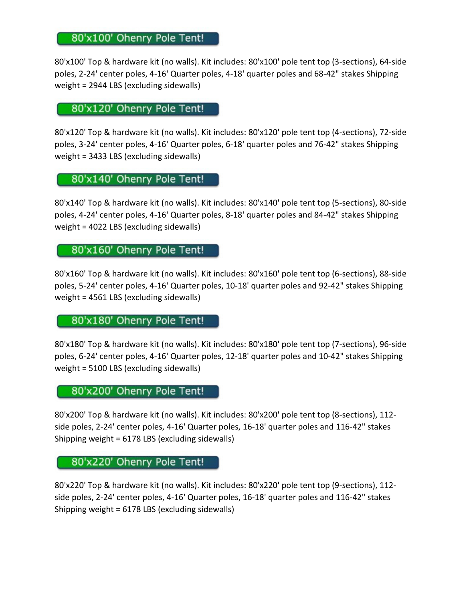# 80'x100' Ohenry Pole Tent!

80'x100' Top & hardware kit (no walls). Kit includes: 80'x100' pole tent top (3-sections), 64-side poles, 2-24' center poles, 4-16' Quarter poles, 4-18' quarter poles and 68-42" stakes Shipping weight = 2944 LBS (excluding sidewalls)

## 80'x120' Ohenry Pole Tent!

80'x120' Top & hardware kit (no walls). Kit includes: 80'x120' pole tent top (4-sections), 72-side poles, 3-24' center poles, 4-16' Quarter poles, 6-18' quarter poles and 76-42" stakes Shipping weight = 3433 LBS (excluding sidewalls)

# 80'x140' Ohenry Pole Tent!

80'x140' Top & hardware kit (no walls). Kit includes: 80'x140' pole tent top (5-sections), 80-side poles, 4-24' center poles, 4-16' Quarter poles, 8-18' quarter poles and 84-42" stakes Shipping weight = 4022 LBS (excluding sidewalls)

#### 80'x160' Ohenry Pole Tent!

80'x160' Top & hardware kit (no walls). Kit includes: 80'x160' pole tent top (6-sections), 88-side poles, 5-24' center poles, 4-16' Quarter poles, 10-18' quarter poles and 92-42" stakes Shipping weight = 4561 LBS (excluding sidewalls)

#### 80'x180' Ohenry Pole Tent!

80'x180' Top & hardware kit (no walls). Kit includes: 80'x180' pole tent top (7-sections), 96-side poles, 6-24' center poles, 4-16' Quarter poles, 12-18' quarter poles and 10-42" stakes Shipping weight = 5100 LBS (excluding sidewalls)

#### 80'x200' Ohenry Pole Tent!

80'x200' Top & hardware kit (no walls). Kit includes: 80'x200' pole tent top (8-sections), 112 side poles, 2-24' center poles, 4-16' Quarter poles, 16-18' quarter poles and 116-42" stakes Shipping weight = 6178 LBS (excluding sidewalls)

## 80'x220' Ohenry Pole Tent!

80'x220' Top & hardware kit (no walls). Kit includes: 80'x220' pole tent top (9-sections), 112 side poles, 2-24' center poles, 4-16' Quarter poles, 16-18' quarter poles and 116-42" stakes Shipping weight = 6178 LBS (excluding sidewalls)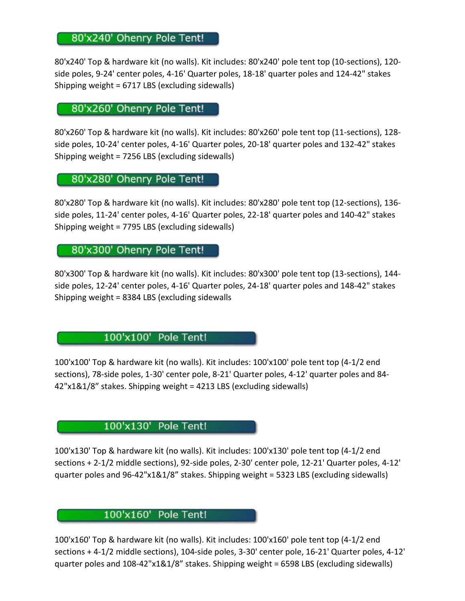## 80'x240' Ohenry Pole Tent!

80'x240' Top & hardware kit (no walls). Kit includes: 80'x240' pole tent top (10-sections), 120 side poles, 9-24' center poles, 4-16' Quarter poles, 18-18' quarter poles and 124-42" stakes Shipping weight = 6717 LBS (excluding sidewalls)

## 80'x260' Ohenry Pole Tent!

80'x260' Top & hardware kit (no walls). Kit includes: 80'x260' pole tent top (11-sections), 128 side poles, 10-24' center poles, 4-16' Quarter poles, 20-18' quarter poles and 132-42" stakes Shipping weight = 7256 LBS (excluding sidewalls)

#### 80'x280' Ohenry Pole Tent!

80'x280' Top & hardware kit (no walls). Kit includes: 80'x280' pole tent top (12-sections), 136 side poles, 11-24' center poles, 4-16' Quarter poles, 22-18' quarter poles and 140-42" stakes Shipping weight = 7795 LBS (excluding sidewalls)

## 80'x300' Ohenry Pole Tent!

80'x300' Top & hardware kit (no walls). Kit includes: 80'x300' pole tent top (13-sections), 144 side poles, 12-24' center poles, 4-16' Quarter poles, 24-18' quarter poles and 148-42" stakes Shipping weight = 8384 LBS (excluding sidewalls

#### 100'x100' Pole Tent!

100'x100' Top & hardware kit (no walls). Kit includes: 100'x100' pole tent top (4-1/2 end sections), 78-side poles, 1-30' center pole, 8-21' Quarter poles, 4-12' quarter poles and 84- 42"x1&1/8" stakes. Shipping weight = 4213 LBS (excluding sidewalls)

## 100'x130' Pole Tent!

100'x130' Top & hardware kit (no walls). Kit includes: 100'x130' pole tent top (4-1/2 end sections + 2-1/2 middle sections), 92-side poles, 2-30' center pole, 12-21' Quarter poles, 4-12' quarter poles and 96-42"x1&1/8" stakes. Shipping weight = 5323 LBS (excluding sidewalls)

#### 100'x160' Pole Tent!

100'x160' Top & hardware kit (no walls). Kit includes: 100'x160' pole tent top (4-1/2 end sections + 4-1/2 middle sections), 104-side poles, 3-30' center pole, 16-21' Quarter poles, 4-12' quarter poles and 108-42"x1&1/8" stakes. Shipping weight = 6598 LBS (excluding sidewalls)